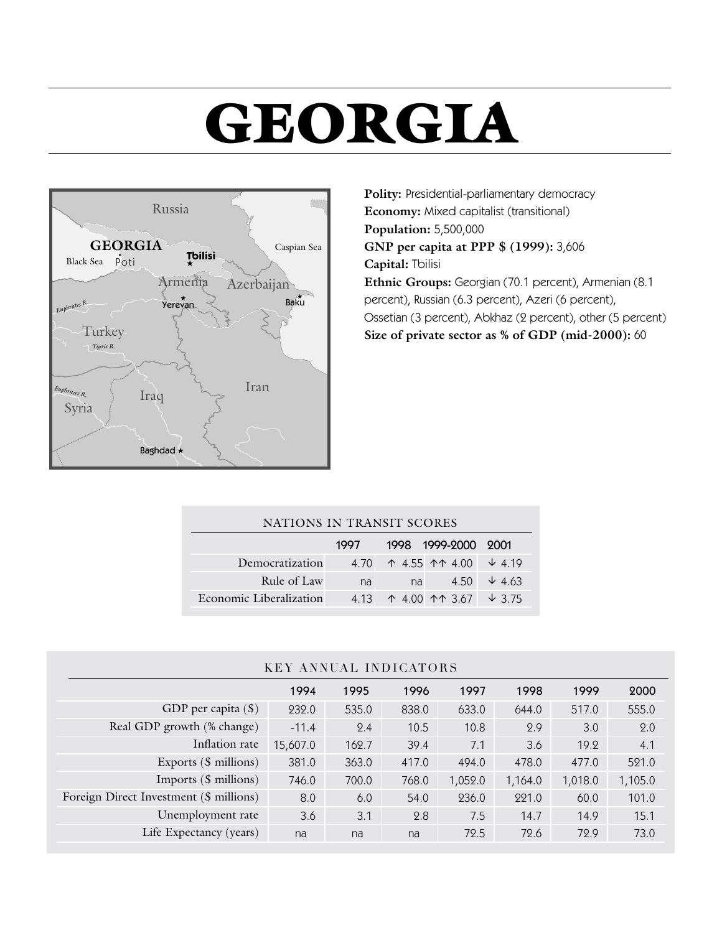# **GEORGIA**



**Polity:** Presidential-parliamentary democracy **Economy:** Mixed capitalist (transitional) **Population:** 5,500,000 **GNP per capita at PPP \$ (1999):** 3,606 **Capital:** Tbilisi **Ethnic Groups:** Georgian (70.1 percent), Armenian (8.1 percent), Russian (6.3 percent), Azeri (6 percent), Ossetian (3 percent), Abkhaz (2 percent), other (5 percent) **Size of private sector as % of GDP (mid-2000):** 60

| NATIONS IN TRANSIT SCORES |       |    |                         |               |
|---------------------------|-------|----|-------------------------|---------------|
|                           | 1997  |    | 1998 1999-2000 2001     |               |
| Democratization           | 4.70  |    | ተ 4.55 <u>ተተ</u> 4.00   | $\sqrt{4.19}$ |
| Rule of Law               | na    | na | 4.50                    | $\sqrt{4.63}$ |
| Economic Liberalization   | 4 1 3 |    | $\uparrow$ 4.00 11 3.67 | $\sqrt{3.75}$ |

### KEY ANNUAL INDICATORS

|                                         | 1994     | 1995  | 1996  | 1997    | 1998    | 1999    | 2000    |
|-----------------------------------------|----------|-------|-------|---------|---------|---------|---------|
| GDP per capita $(\$)$                   | 232.0    | 535.0 | 838.0 | 633.0   | 644.0   | 517.0   | 555.0   |
| Real GDP growth (% change)              | $-11.4$  | 2.4   | 10.5  | 10.8    | 2.9     | 3.0     | 2.0     |
| Inflation rate                          | 15,607.0 | 162.7 | 39.4  | 7.1     | 3.6     | 19.2    | 4.1     |
| Exports (\$ millions)                   | 381.0    | 363.0 | 417.0 | 494.0   | 478.0   | 477.0   | 521.0   |
| Imports (\$ millions)                   | 746.0    | 700.0 | 768.0 | 1,052.0 | 1,164.0 | 1,018.0 | 1,105.0 |
| Foreign Direct Investment (\$ millions) | 8.0      | 6.0   | 54.0  | 236.0   | 221.0   | 60.0    | 101.0   |
| Unemployment rate                       | 3.6      | 3.1   | 2.8   | 7.5     | 14.7    | 14.9    | 15.1    |
| Life Expectancy (years)                 | na       | na    | na    | 72.5    | 72.6    | 72.9    | 73.0    |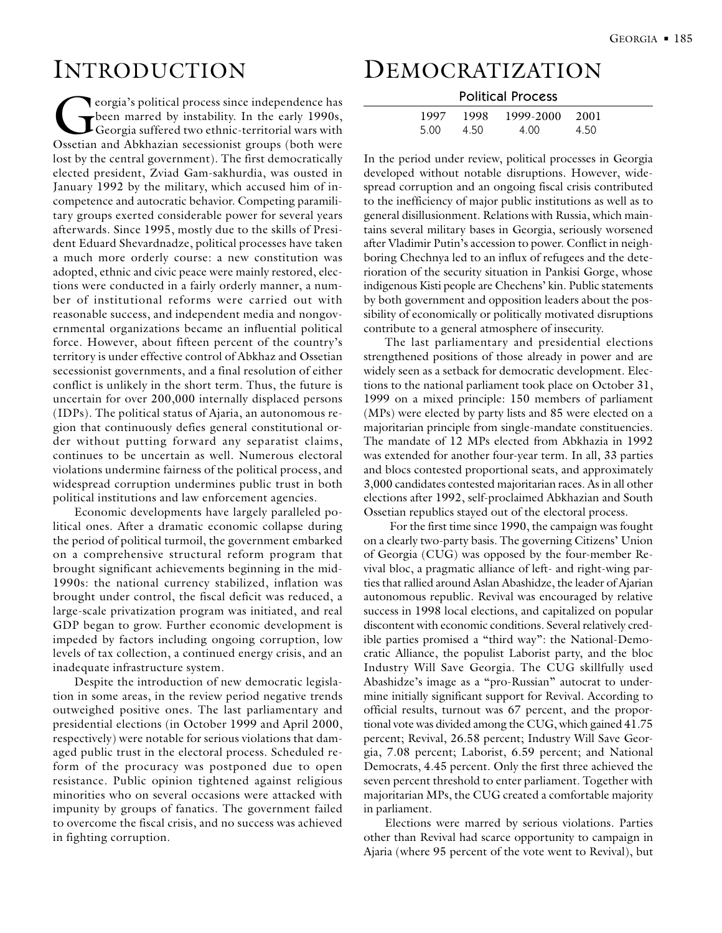# INTRODUCTION

Corgia's political process since independence has<br>been marred by instability. In the early 1990s,<br>Georgia suffered two ethnic-territorial wars with<br>Ossetian and Abkhazian secessionist groups (both were been marred by instability. In the early 1990s, Georgia suffered two ethnic-territorial wars with Ossetian and Abkhazian secessionist groups (both were lost by the central government). The first democratically elected president, Zviad Gam-sakhurdia, was ousted in January 1992 by the military, which accused him of incompetence and autocratic behavior. Competing paramilitary groups exerted considerable power for several years afterwards. Since 1995, mostly due to the skills of President Eduard Shevardnadze, political processes have taken a much more orderly course: a new constitution was adopted, ethnic and civic peace were mainly restored, elections were conducted in a fairly orderly manner, a number of institutional reforms were carried out with reasonable success, and independent media and nongovernmental organizations became an influential political force. However, about fifteen percent of the country's territory is under effective control of Abkhaz and Ossetian secessionist governments, and a final resolution of either conflict is unlikely in the short term. Thus, the future is uncertain for over 200,000 internally displaced persons (IDPs). The political status of Ajaria, an autonomous region that continuously defies general constitutional order without putting forward any separatist claims, continues to be uncertain as well. Numerous electoral violations undermine fairness of the political process, and widespread corruption undermines public trust in both political institutions and law enforcement agencies.

Economic developments have largely paralleled political ones. After a dramatic economic collapse during the period of political turmoil, the government embarked on a comprehensive structural reform program that brought significant achievements beginning in the mid-1990s: the national currency stabilized, inflation was brought under control, the fiscal deficit was reduced, a large-scale privatization program was initiated, and real GDP began to grow. Further economic development is impeded by factors including ongoing corruption, low levels of tax collection, a continued energy crisis, and an inadequate infrastructure system.

Despite the introduction of new democratic legislation in some areas, in the review period negative trends outweighed positive ones. The last parliamentary and presidential elections (in October 1999 and April 2000, respectively) were notable for serious violations that damaged public trust in the electoral process. Scheduled reform of the procuracy was postponed due to open resistance. Public opinion tightened against religious minorities who on several occasions were attacked with impunity by groups of fanatics. The government failed to overcome the fiscal crisis, and no success was achieved in fighting corruption.

## DEMOCRATIZATION

| <b>Political Process</b> |  |
|--------------------------|--|
|--------------------------|--|

| 1997- | 1998 | 1999-2000 2001 |      |
|-------|------|----------------|------|
| 5.00  | 4.50 | 4.00           | 4.50 |

In the period under review, political processes in Georgia developed without notable disruptions. However, widespread corruption and an ongoing fiscal crisis contributed to the inefficiency of major public institutions as well as to general disillusionment. Relations with Russia, which maintains several military bases in Georgia, seriously worsened after Vladimir Putin's accession to power. Conflict in neighboring Chechnya led to an influx of refugees and the deterioration of the security situation in Pankisi Gorge, whose indigenous Kisti people are Chechens' kin. Public statements by both government and opposition leaders about the possibility of economically or politically motivated disruptions contribute to a general atmosphere of insecurity.

The last parliamentary and presidential elections strengthened positions of those already in power and are widely seen as a setback for democratic development. Elections to the national parliament took place on October 31, 1999 on a mixed principle: 150 members of parliament (MPs) were elected by party lists and 85 were elected on a majoritarian principle from single-mandate constituencies. The mandate of 12 MPs elected from Abkhazia in 1992 was extended for another four-year term. In all, 33 parties and blocs contested proportional seats, and approximately 3,000 candidates contested majoritarian races. As in all other elections after 1992, self-proclaimed Abkhazian and South Ossetian republics stayed out of the electoral process.

 For the first time since 1990, the campaign was fought on a clearly two-party basis. The governing Citizens' Union of Georgia (CUG) was opposed by the four-member Revival bloc, a pragmatic alliance of left- and right-wing parties that rallied around Aslan Abashidze, the leader of Ajarian autonomous republic. Revival was encouraged by relative success in 1998 local elections, and capitalized on popular discontent with economic conditions. Several relatively credible parties promised a "third way": the National-Democratic Alliance, the populist Laborist party, and the bloc Industry Will Save Georgia. The CUG skillfully used Abashidze's image as a "pro-Russian" autocrat to undermine initially significant support for Revival. According to official results, turnout was 67 percent, and the proportional vote was divided among the CUG, which gained 41.75 percent; Revival, 26.58 percent; Industry Will Save Georgia, 7.08 percent; Laborist, 6.59 percent; and National Democrats, 4.45 percent. Only the first three achieved the seven percent threshold to enter parliament. Together with majoritarian MPs, the CUG created a comfortable majority in parliament.

Elections were marred by serious violations. Parties other than Revival had scarce opportunity to campaign in Ajaria (where 95 percent of the vote went to Revival), but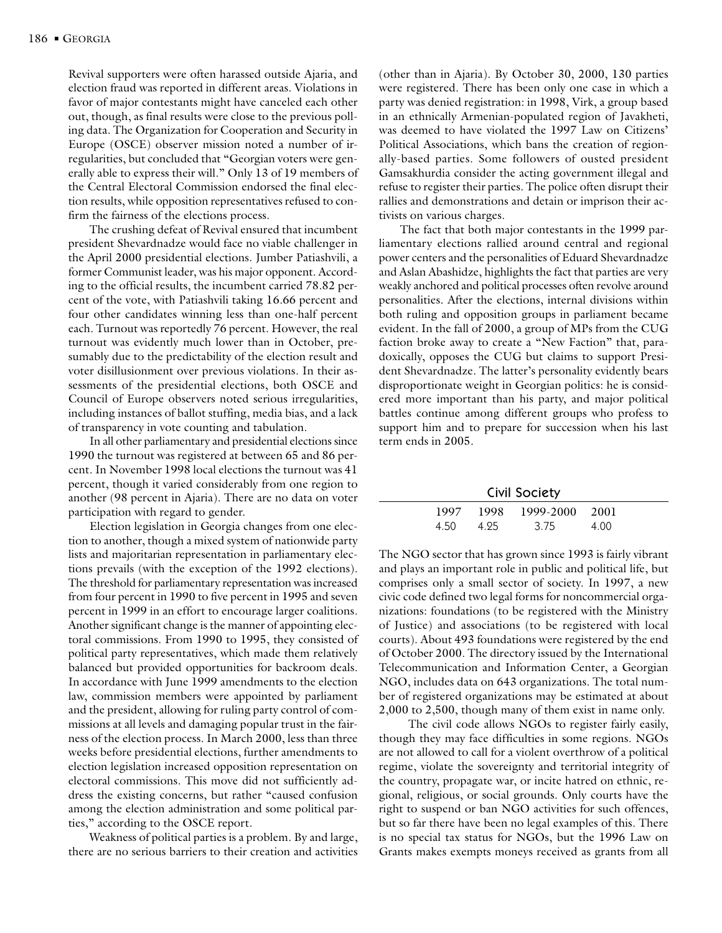Revival supporters were often harassed outside Ajaria, and election fraud was reported in different areas. Violations in favor of major contestants might have canceled each other out, though, as final results were close to the previous polling data. The Organization for Cooperation and Security in Europe (OSCE) observer mission noted a number of irregularities, but concluded that "Georgian voters were generally able to express their will." Only 13 of 19 members of the Central Electoral Commission endorsed the final election results, while opposition representatives refused to confirm the fairness of the elections process.

The crushing defeat of Revival ensured that incumbent president Shevardnadze would face no viable challenger in the April 2000 presidential elections. Jumber Patiashvili, a former Communist leader, was his major opponent. According to the official results, the incumbent carried 78.82 percent of the vote, with Patiashvili taking 16.66 percent and four other candidates winning less than one-half percent each. Turnout was reportedly 76 percent. However, the real turnout was evidently much lower than in October, presumably due to the predictability of the election result and voter disillusionment over previous violations. In their assessments of the presidential elections, both OSCE and Council of Europe observers noted serious irregularities, including instances of ballot stuffing, media bias, and a lack of transparency in vote counting and tabulation.

In all other parliamentary and presidential elections since 1990 the turnout was registered at between 65 and 86 percent. In November 1998 local elections the turnout was 41 percent, though it varied considerably from one region to another (98 percent in Ajaria). There are no data on voter participation with regard to gender.

Election legislation in Georgia changes from one election to another, though a mixed system of nationwide party lists and majoritarian representation in parliamentary elections prevails (with the exception of the 1992 elections). The threshold for parliamentary representation was increased from four percent in 1990 to five percent in 1995 and seven percent in 1999 in an effort to encourage larger coalitions. Another significant change is the manner of appointing electoral commissions. From 1990 to 1995, they consisted of political party representatives, which made them relatively balanced but provided opportunities for backroom deals. In accordance with June 1999 amendments to the election law, commission members were appointed by parliament and the president, allowing for ruling party control of commissions at all levels and damaging popular trust in the fairness of the election process. In March 2000, less than three weeks before presidential elections, further amendments to election legislation increased opposition representation on electoral commissions. This move did not sufficiently address the existing concerns, but rather "caused confusion among the election administration and some political parties," according to the OSCE report.

Weakness of political parties is a problem. By and large, there are no serious barriers to their creation and activities

(other than in Ajaria). By October 30, 2000, 130 parties were registered. There has been only one case in which a party was denied registration: in 1998, Virk, a group based in an ethnically Armenian-populated region of Javakheti, was deemed to have violated the 1997 Law on Citizens' Political Associations, which bans the creation of regionally-based parties. Some followers of ousted president Gamsakhurdia consider the acting government illegal and refuse to register their parties. The police often disrupt their rallies and demonstrations and detain or imprison their activists on various charges.

The fact that both major contestants in the 1999 parliamentary elections rallied around central and regional power centers and the personalities of Eduard Shevardnadze and Aslan Abashidze, highlights the fact that parties are very weakly anchored and political processes often revolve around personalities. After the elections, internal divisions within both ruling and opposition groups in parliament became evident. In the fall of 2000, a group of MPs from the CUG faction broke away to create a "New Faction" that, paradoxically, opposes the CUG but claims to support President Shevardnadze. The latter's personality evidently bears disproportionate weight in Georgian politics: he is considered more important than his party, and major political battles continue among different groups who profess to support him and to prepare for succession when his last term ends in 2005.

|      |      | <b>Civil Society</b>             |      |  |
|------|------|----------------------------------|------|--|
| 4.50 | 4.95 | 1997 1998 1999-2000 2001<br>3.75 | 4.00 |  |

The NGO sector that has grown since 1993 is fairly vibrant and plays an important role in public and political life, but comprises only a small sector of society. In 1997, a new civic code defined two legal forms for noncommercial organizations: foundations (to be registered with the Ministry of Justice) and associations (to be registered with local courts). About 493 foundations were registered by the end of October 2000. The directory issued by the International Telecommunication and Information Center, a Georgian NGO, includes data on 643 organizations. The total number of registered organizations may be estimated at about 2,000 to 2,500, though many of them exist in name only.

 The civil code allows NGOs to register fairly easily, though they may face difficulties in some regions. NGOs are not allowed to call for a violent overthrow of a political regime, violate the sovereignty and territorial integrity of the country, propagate war, or incite hatred on ethnic, regional, religious, or social grounds. Only courts have the right to suspend or ban NGO activities for such offences, but so far there have been no legal examples of this. There is no special tax status for NGOs, but the 1996 Law on Grants makes exempts moneys received as grants from all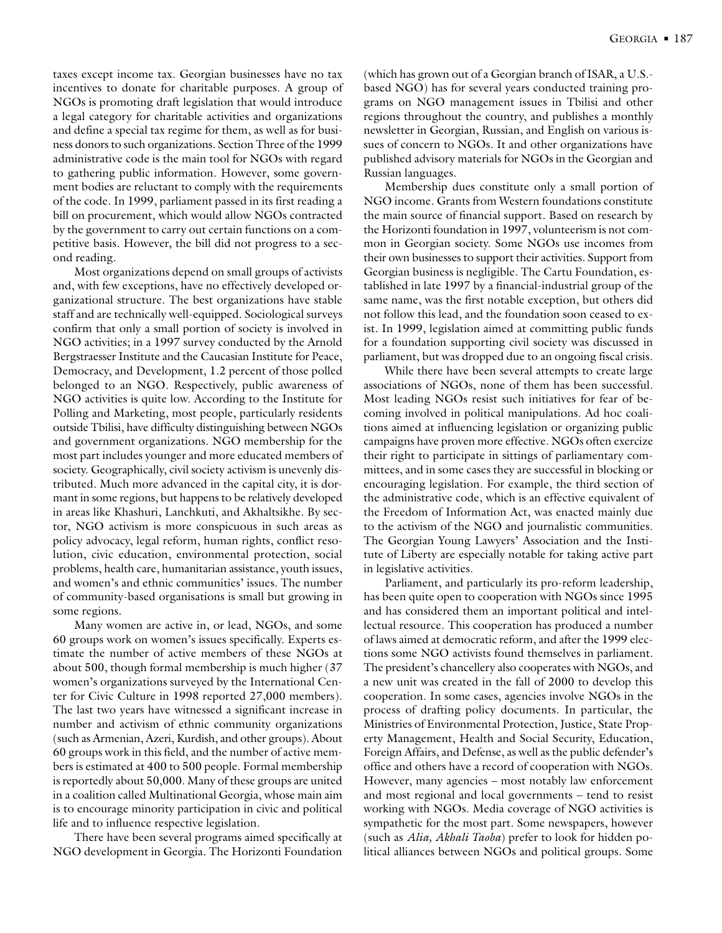taxes except income tax. Georgian businesses have no tax incentives to donate for charitable purposes. A group of NGOs is promoting draft legislation that would introduce a legal category for charitable activities and organizations and define a special tax regime for them, as well as for business donors to such organizations. Section Three of the 1999 administrative code is the main tool for NGOs with regard to gathering public information. However, some government bodies are reluctant to comply with the requirements of the code. In 1999, parliament passed in its first reading a bill on procurement, which would allow NGOs contracted by the government to carry out certain functions on a competitive basis. However, the bill did not progress to a second reading.

Most organizations depend on small groups of activists and, with few exceptions, have no effectively developed organizational structure. The best organizations have stable staff and are technically well-equipped. Sociological surveys confirm that only a small portion of society is involved in NGO activities; in a 1997 survey conducted by the Arnold Bergstraesser Institute and the Caucasian Institute for Peace, Democracy, and Development, 1.2 percent of those polled belonged to an NGO. Respectively, public awareness of NGO activities is quite low. According to the Institute for Polling and Marketing, most people, particularly residents outside Tbilisi, have difficulty distinguishing between NGOs and government organizations. NGO membership for the most part includes younger and more educated members of society. Geographically, civil society activism is unevenly distributed. Much more advanced in the capital city, it is dormant in some regions, but happens to be relatively developed in areas like Khashuri, Lanchkuti, and Akhaltsikhe. By sector, NGO activism is more conspicuous in such areas as policy advocacy, legal reform, human rights, conflict resolution, civic education, environmental protection, social problems, health care, humanitarian assistance, youth issues, and women's and ethnic communities' issues. The number of community-based organisations is small but growing in some regions.

Many women are active in, or lead, NGOs, and some 60 groups work on women's issues specifically. Experts estimate the number of active members of these NGOs at about 500, though formal membership is much higher (37 women's organizations surveyed by the International Center for Civic Culture in 1998 reported 27,000 members). The last two years have witnessed a significant increase in number and activism of ethnic community organizations (such as Armenian, Azeri, Kurdish, and other groups). About 60 groups work in this field, and the number of active members is estimated at 400 to 500 people. Formal membership is reportedly about 50,000. Many of these groups are united in a coalition called Multinational Georgia, whose main aim is to encourage minority participation in civic and political life and to influence respective legislation.

There have been several programs aimed specifically at NGO development in Georgia. The Horizonti Foundation (which has grown out of a Georgian branch of ISAR, a U.S. based NGO) has for several years conducted training programs on NGO management issues in Tbilisi and other regions throughout the country, and publishes a monthly newsletter in Georgian, Russian, and English on various issues of concern to NGOs. It and other organizations have published advisory materials for NGOs in the Georgian and Russian languages.

Membership dues constitute only a small portion of NGO income. Grants from Western foundations constitute the main source of financial support. Based on research by the Horizonti foundation in 1997, volunteerism is not common in Georgian society. Some NGOs use incomes from their own businesses to support their activities. Support from Georgian business is negligible. The Cartu Foundation, established in late 1997 by a financial-industrial group of the same name, was the first notable exception, but others did not follow this lead, and the foundation soon ceased to exist. In 1999, legislation aimed at committing public funds for a foundation supporting civil society was discussed in parliament, but was dropped due to an ongoing fiscal crisis.

While there have been several attempts to create large associations of NGOs, none of them has been successful. Most leading NGOs resist such initiatives for fear of becoming involved in political manipulations. Ad hoc coalitions aimed at influencing legislation or organizing public campaigns have proven more effective. NGOs often exercize their right to participate in sittings of parliamentary committees, and in some cases they are successful in blocking or encouraging legislation. For example, the third section of the administrative code, which is an effective equivalent of the Freedom of Information Act, was enacted mainly due to the activism of the NGO and journalistic communities. The Georgian Young Lawyers' Association and the Institute of Liberty are especially notable for taking active part in legislative activities.

Parliament, and particularly its pro-reform leadership, has been quite open to cooperation with NGOs since 1995 and has considered them an important political and intellectual resource. This cooperation has produced a number of laws aimed at democratic reform, and after the 1999 elections some NGO activists found themselves in parliament. The president's chancellery also cooperates with NGOs, and a new unit was created in the fall of 2000 to develop this cooperation. In some cases, agencies involve NGOs in the process of drafting policy documents. In particular, the Ministries of Environmental Protection, Justice, State Property Management, Health and Social Security, Education, Foreign Affairs, and Defense, as well as the public defender's office and others have a record of cooperation with NGOs. However, many agencies – most notably law enforcement and most regional and local governments – tend to resist working with NGOs. Media coverage of NGO activities is sympathetic for the most part. Some newspapers, however (such as *Alia, Akhali Taoba*) prefer to look for hidden political alliances between NGOs and political groups. Some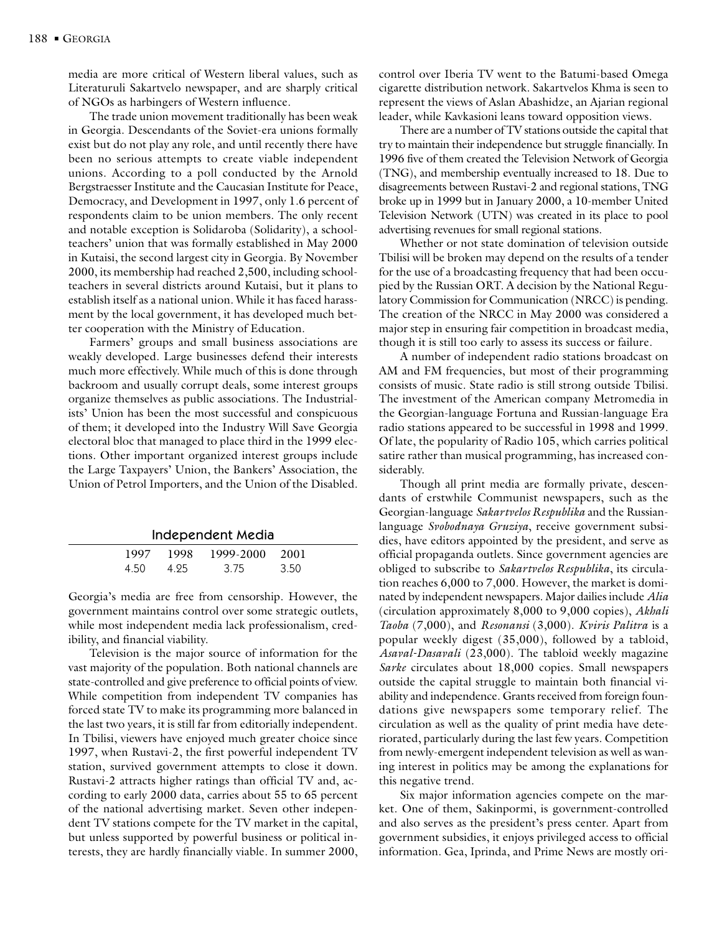media are more critical of Western liberal values, such as Literaturuli Sakartvelo newspaper, and are sharply critical of NGOs as harbingers of Western influence.

The trade union movement traditionally has been weak in Georgia. Descendants of the Soviet-era unions formally exist but do not play any role, and until recently there have been no serious attempts to create viable independent unions. According to a poll conducted by the Arnold Bergstraesser Institute and the Caucasian Institute for Peace, Democracy, and Development in 1997, only 1.6 percent of respondents claim to be union members. The only recent and notable exception is Solidaroba (Solidarity), a schoolteachers' union that was formally established in May 2000 in Kutaisi, the second largest city in Georgia. By November 2000, its membership had reached 2,500, including schoolteachers in several districts around Kutaisi, but it plans to establish itself as a national union. While it has faced harassment by the local government, it has developed much better cooperation with the Ministry of Education.

Farmers' groups and small business associations are weakly developed. Large businesses defend their interests much more effectively. While much of this is done through backroom and usually corrupt deals, some interest groups organize themselves as public associations. The Industrialists' Union has been the most successful and conspicuous of them; it developed into the Industry Will Save Georgia electoral bloc that managed to place third in the 1999 elections. Other important organized interest groups include the Large Taxpayers' Union, the Bankers' Association, the Union of Petrol Importers, and the Union of the Disabled.

| Independent Media |
|-------------------|
|-------------------|

| 1997 | 1998 | 1999-2000 2001 |      |  |
|------|------|----------------|------|--|
| 4.50 | 4.25 | 3.75           | 3.50 |  |

Georgia's media are free from censorship. However, the government maintains control over some strategic outlets, while most independent media lack professionalism, credibility, and financial viability.

Television is the major source of information for the vast majority of the population. Both national channels are state-controlled and give preference to official points of view. While competition from independent TV companies has forced state TV to make its programming more balanced in the last two years, it is still far from editorially independent. In Tbilisi, viewers have enjoyed much greater choice since 1997, when Rustavi-2, the first powerful independent TV station, survived government attempts to close it down. Rustavi-2 attracts higher ratings than official TV and, according to early 2000 data, carries about 55 to 65 percent of the national advertising market. Seven other independent TV stations compete for the TV market in the capital, but unless supported by powerful business or political interests, they are hardly financially viable. In summer 2000,

control over Iberia TV went to the Batumi-based Omega cigarette distribution network. Sakartvelos Khma is seen to represent the views of Aslan Abashidze, an Ajarian regional leader, while Kavkasioni leans toward opposition views.

There are a number of TV stations outside the capital that try to maintain their independence but struggle financially. In 1996 five of them created the Television Network of Georgia (TNG), and membership eventually increased to 18. Due to disagreements between Rustavi-2 and regional stations, TNG broke up in 1999 but in January 2000, a 10-member United Television Network (UTN) was created in its place to pool advertising revenues for small regional stations.

Whether or not state domination of television outside Tbilisi will be broken may depend on the results of a tender for the use of a broadcasting frequency that had been occupied by the Russian ORT. A decision by the National Regulatory Commission for Communication (NRCC) is pending. The creation of the NRCC in May 2000 was considered a major step in ensuring fair competition in broadcast media, though it is still too early to assess its success or failure.

A number of independent radio stations broadcast on AM and FM frequencies, but most of their programming consists of music. State radio is still strong outside Tbilisi. The investment of the American company Metromedia in the Georgian-language Fortuna and Russian-language Era radio stations appeared to be successful in 1998 and 1999. Of late, the popularity of Radio 105, which carries political satire rather than musical programming, has increased considerably.

Though all print media are formally private, descendants of erstwhile Communist newspapers, such as the Georgian-language *Sakartvelos Respublika* and the Russianlanguage *Svobodnaya Gruziya*, receive government subsidies, have editors appointed by the president, and serve as official propaganda outlets. Since government agencies are obliged to subscribe to *Sakartvelos Respublika*, its circulation reaches 6,000 to 7,000. However, the market is dominated by independent newspapers. Major dailies include *Alia* (circulation approximately 8,000 to 9,000 copies), *Akhali Taoba* (7,000), and *Resonansi* (3,000). *Kviris Palitra* is a popular weekly digest (35,000), followed by a tabloid, *Asaval-Dasavali* (23,000). The tabloid weekly magazine *Sarke* circulates about 18,000 copies. Small newspapers outside the capital struggle to maintain both financial viability and independence. Grants received from foreign foundations give newspapers some temporary relief. The circulation as well as the quality of print media have deteriorated, particularly during the last few years. Competition from newly-emergent independent television as well as waning interest in politics may be among the explanations for this negative trend.

Six major information agencies compete on the market. One of them, Sakinpormi, is government-controlled and also serves as the president's press center. Apart from government subsidies, it enjoys privileged access to official information. Gea, Iprinda, and Prime News are mostly ori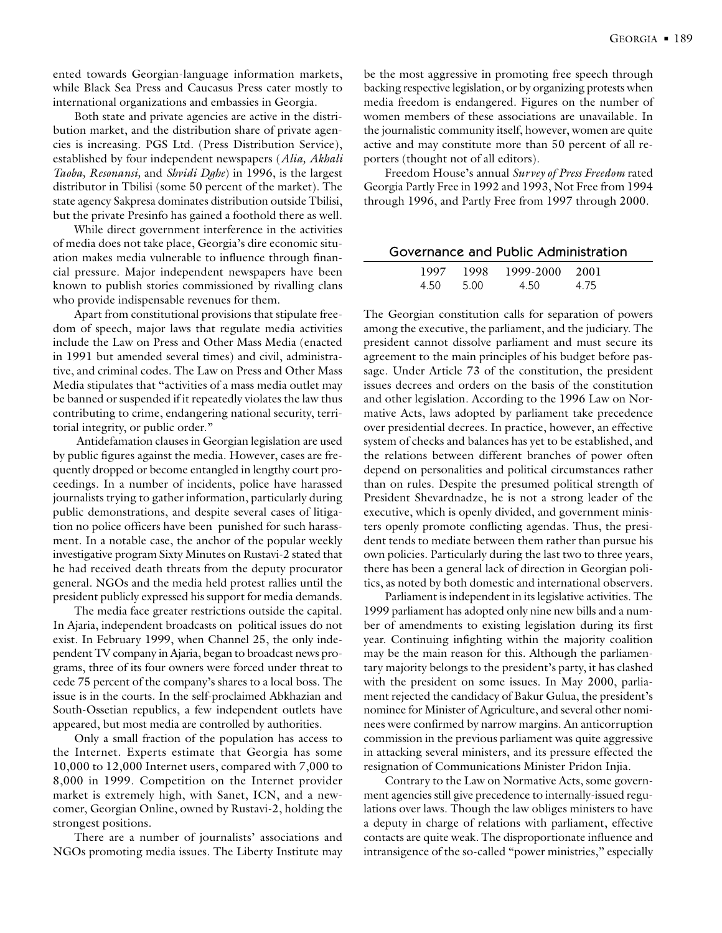ented towards Georgian-language information markets, while Black Sea Press and Caucasus Press cater mostly to international organizations and embassies in Georgia.

Both state and private agencies are active in the distribution market, and the distribution share of private agencies is increasing. PGS Ltd. (Press Distribution Service), established by four independent newspapers (*Alia, Akhali Taoba, Resonansi,* and *Shvidi Dghe*) in 1996, is the largest distributor in Tbilisi (some 50 percent of the market). The state agency Sakpresa dominates distribution outside Tbilisi, but the private Presinfo has gained a foothold there as well.

While direct government interference in the activities of media does not take place, Georgia's dire economic situation makes media vulnerable to influence through financial pressure. Major independent newspapers have been known to publish stories commissioned by rivalling clans who provide indispensable revenues for them.

Apart from constitutional provisions that stipulate freedom of speech, major laws that regulate media activities include the Law on Press and Other Mass Media (enacted in 1991 but amended several times) and civil, administrative, and criminal codes. The Law on Press and Other Mass Media stipulates that "activities of a mass media outlet may be banned or suspended if it repeatedly violates the law thus contributing to crime, endangering national security, territorial integrity, or public order."

 Antidefamation clauses in Georgian legislation are used by public figures against the media. However, cases are frequently dropped or become entangled in lengthy court proceedings. In a number of incidents, police have harassed journalists trying to gather information, particularly during public demonstrations, and despite several cases of litigation no police officers have been punished for such harassment. In a notable case, the anchor of the popular weekly investigative program Sixty Minutes on Rustavi-2 stated that he had received death threats from the deputy procurator general. NGOs and the media held protest rallies until the president publicly expressed his support for media demands.

The media face greater restrictions outside the capital. In Ajaria, independent broadcasts on political issues do not exist. In February 1999, when Channel 25, the only independent TV company in Ajaria, began to broadcast news programs, three of its four owners were forced under threat to cede 75 percent of the company's shares to a local boss. The issue is in the courts. In the self-proclaimed Abkhazian and South-Ossetian republics, a few independent outlets have appeared, but most media are controlled by authorities.

Only a small fraction of the population has access to the Internet. Experts estimate that Georgia has some 10,000 to 12,000 Internet users, compared with 7,000 to 8,000 in 1999. Competition on the Internet provider market is extremely high, with Sanet, ICN, and a newcomer, Georgian Online, owned by Rustavi-2, holding the strongest positions.

There are a number of journalists' associations and NGOs promoting media issues. The Liberty Institute may be the most aggressive in promoting free speech through backing respective legislation, or by organizing protests when media freedom is endangered. Figures on the number of women members of these associations are unavailable. In the journalistic community itself, however, women are quite active and may constitute more than 50 percent of all reporters (thought not of all editors).

Freedom House's annual *Survey of Press Freedom* rated Georgia Partly Free in 1992 and 1993, Not Free from 1994 through 1996, and Partly Free from 1997 through 2000.

|      |       | Governance and Public Administration |      |
|------|-------|--------------------------------------|------|
|      |       | 1997 1998 1999-2000 2001             |      |
| 4.50 | -5.00 | 4.50                                 | 4.75 |

The Georgian constitution calls for separation of powers among the executive, the parliament, and the judiciary. The president cannot dissolve parliament and must secure its agreement to the main principles of his budget before passage. Under Article 73 of the constitution, the president issues decrees and orders on the basis of the constitution and other legislation. According to the 1996 Law on Normative Acts, laws adopted by parliament take precedence over presidential decrees. In practice, however, an effective system of checks and balances has yet to be established, and the relations between different branches of power often depend on personalities and political circumstances rather than on rules. Despite the presumed political strength of President Shevardnadze, he is not a strong leader of the executive, which is openly divided, and government ministers openly promote conflicting agendas. Thus, the president tends to mediate between them rather than pursue his own policies. Particularly during the last two to three years, there has been a general lack of direction in Georgian politics, as noted by both domestic and international observers.

Parliament is independent in its legislative activities. The 1999 parliament has adopted only nine new bills and a number of amendments to existing legislation during its first year. Continuing infighting within the majority coalition may be the main reason for this. Although the parliamentary majority belongs to the president's party, it has clashed with the president on some issues. In May 2000, parliament rejected the candidacy of Bakur Gulua, the president's nominee for Minister of Agriculture, and several other nominees were confirmed by narrow margins. An anticorruption commission in the previous parliament was quite aggressive in attacking several ministers, and its pressure effected the resignation of Communications Minister Pridon Injia.

Contrary to the Law on Normative Acts, some government agencies still give precedence to internally-issued regulations over laws. Though the law obliges ministers to have a deputy in charge of relations with parliament, effective contacts are quite weak. The disproportionate influence and intransigence of the so-called "power ministries," especially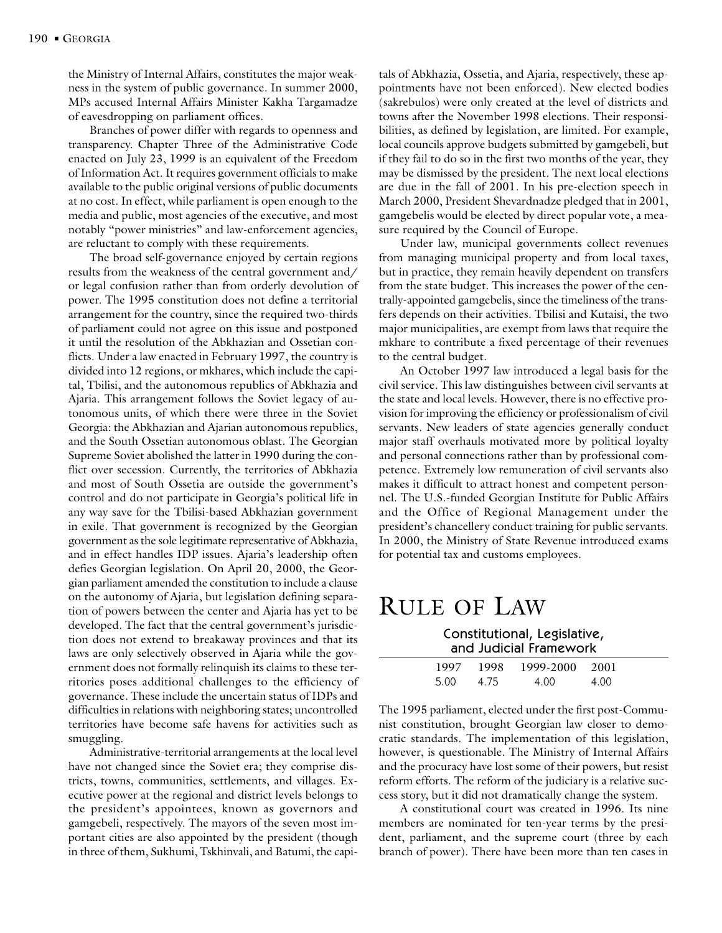the Ministry of Internal Affairs, constitutes the major weakness in the system of public governance. In summer 2000, MPs accused Internal Affairs Minister Kakha Targamadze of eavesdropping on parliament offices.

Branches of power differ with regards to openness and transparency. Chapter Three of the Administrative Code enacted on July 23, 1999 is an equivalent of the Freedom of Information Act. It requires government officials to make available to the public original versions of public documents at no cost. In effect, while parliament is open enough to the media and public, most agencies of the executive, and most notably "power ministries" and law-enforcement agencies, are reluctant to comply with these requirements.

The broad self-governance enjoyed by certain regions results from the weakness of the central government and/ or legal confusion rather than from orderly devolution of power. The 1995 constitution does not define a territorial arrangement for the country, since the required two-thirds of parliament could not agree on this issue and postponed it until the resolution of the Abkhazian and Ossetian conflicts. Under a law enacted in February 1997, the country is divided into 12 regions, or mkhares, which include the capital, Tbilisi, and the autonomous republics of Abkhazia and Ajaria. This arrangement follows the Soviet legacy of autonomous units, of which there were three in the Soviet Georgia: the Abkhazian and Ajarian autonomous republics, and the South Ossetian autonomous oblast. The Georgian Supreme Soviet abolished the latter in 1990 during the conflict over secession. Currently, the territories of Abkhazia and most of South Ossetia are outside the government's control and do not participate in Georgia's political life in any way save for the Tbilisi-based Abkhazian government in exile. That government is recognized by the Georgian government as the sole legitimate representative of Abkhazia, and in effect handles IDP issues. Ajaria's leadership often defies Georgian legislation. On April 20, 2000, the Georgian parliament amended the constitution to include a clause on the autonomy of Ajaria, but legislation defining separation of powers between the center and Ajaria has yet to be developed. The fact that the central government's jurisdiction does not extend to breakaway provinces and that its laws are only selectively observed in Ajaria while the government does not formally relinquish its claims to these territories poses additional challenges to the efficiency of governance. These include the uncertain status of IDPs and difficulties in relations with neighboring states; uncontrolled territories have become safe havens for activities such as smuggling.

Administrative-territorial arrangements at the local level have not changed since the Soviet era; they comprise districts, towns, communities, settlements, and villages. Executive power at the regional and district levels belongs to the president's appointees, known as governors and gamgebeli, respectively. The mayors of the seven most important cities are also appointed by the president (though in three of them, Sukhumi, Tskhinvali, and Batumi, the capi-

tals of Abkhazia, Ossetia, and Ajaria, respectively, these appointments have not been enforced). New elected bodies (sakrebulos) were only created at the level of districts and towns after the November 1998 elections. Their responsibilities, as defined by legislation, are limited. For example, local councils approve budgets submitted by gamgebeli, but if they fail to do so in the first two months of the year, they may be dismissed by the president. The next local elections are due in the fall of 2001. In his pre-election speech in March 2000, President Shevardnadze pledged that in 2001, gamgebelis would be elected by direct popular vote, a measure required by the Council of Europe.

Under law, municipal governments collect revenues from managing municipal property and from local taxes, but in practice, they remain heavily dependent on transfers from the state budget. This increases the power of the centrally-appointed gamgebelis, since the timeliness of the transfers depends on their activities. Tbilisi and Kutaisi, the two major municipalities, are exempt from laws that require the mkhare to contribute a fixed percentage of their revenues to the central budget.

An October 1997 law introduced a legal basis for the civil service. This law distinguishes between civil servants at the state and local levels. However, there is no effective provision for improving the efficiency or professionalism of civil servants. New leaders of state agencies generally conduct major staff overhauls motivated more by political loyalty and personal connections rather than by professional competence. Extremely low remuneration of civil servants also makes it difficult to attract honest and competent personnel. The U.S.-funded Georgian Institute for Public Affairs and the Office of Regional Management under the president's chancellery conduct training for public servants. In 2000, the Ministry of State Revenue introduced exams for potential tax and customs employees.

## RULE OF LAW

Constitutional, Legislative, and Judicial Framework

|      |      | 1997 1998 1999-2000 2001 |      |
|------|------|--------------------------|------|
| 5.00 | 4.75 | 4.00                     | 4.00 |

The 1995 parliament, elected under the first post-Communist constitution, brought Georgian law closer to democratic standards. The implementation of this legislation, however, is questionable. The Ministry of Internal Affairs and the procuracy have lost some of their powers, but resist reform efforts. The reform of the judiciary is a relative success story, but it did not dramatically change the system.

A constitutional court was created in 1996. Its nine members are nominated for ten-year terms by the president, parliament, and the supreme court (three by each branch of power). There have been more than ten cases in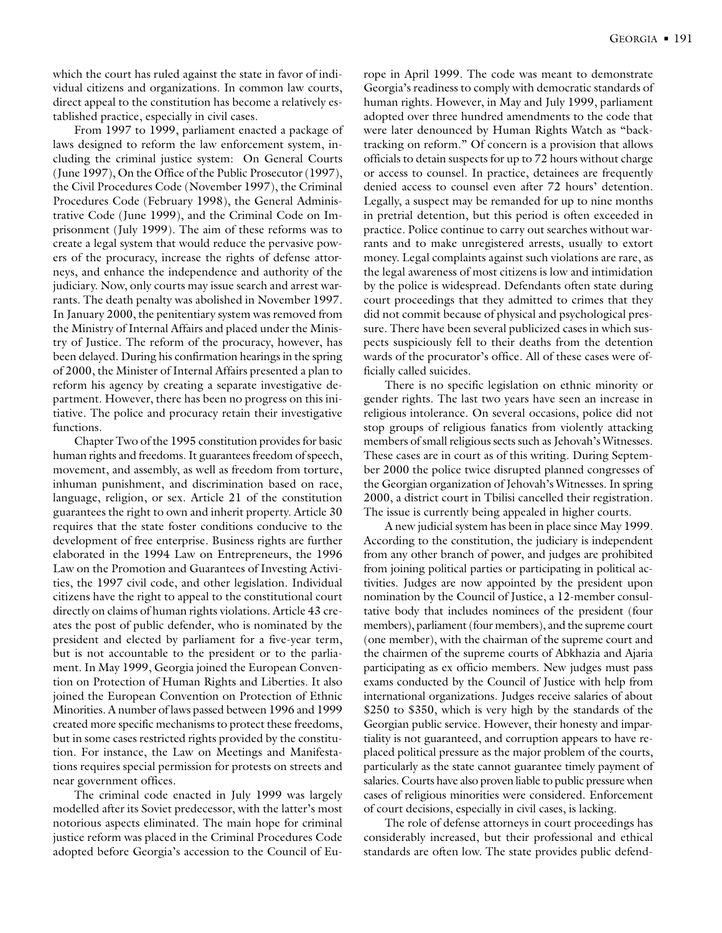which the court has ruled against the state in favor of individual citizens and organizations. In common law courts, direct appeal to the constitution has become a relatively established practice, especially in civil cases.

From 1997 to 1999, parliament enacted a package of laws designed to reform the law enforcement system, including the criminal justice system: On General Courts (June 1997), On the Office of the Public Prosecutor (1997), the Civil Procedures Code (November 1997), the Criminal Procedures Code (February 1998), the General Administrative Code (June 1999), and the Criminal Code on Imprisonment (July 1999). The aim of these reforms was to create a legal system that would reduce the pervasive powers of the procuracy, increase the rights of defense attorneys, and enhance the independence and authority of the judiciary. Now, only courts may issue search and arrest warrants. The death penalty was abolished in November 1997. In January 2000, the penitentiary system was removed from the Ministry of Internal Affairs and placed under the Ministry of Justice. The reform of the procuracy, however, has been delayed. During his confirmation hearings in the spring of 2000, the Minister of Internal Affairs presented a plan to reform his agency by creating a separate investigative department. However, there has been no progress on this initiative. The police and procuracy retain their investigative functions.

Chapter Two of the 1995 constitution provides for basic human rights and freedoms. It guarantees freedom of speech, movement, and assembly, as well as freedom from torture, inhuman punishment, and discrimination based on race, language, religion, or sex. Article 21 of the constitution guarantees the right to own and inherit property. Article 30 requires that the state foster conditions conducive to the development of free enterprise. Business rights are further elaborated in the 1994 Law on Entrepreneurs, the 1996 Law on the Promotion and Guarantees of Investing Activities, the 1997 civil code, and other legislation. Individual citizens have the right to appeal to the constitutional court directly on claims of human rights violations. Article 43 creates the post of public defender, who is nominated by the president and elected by parliament for a five-year term, but is not accountable to the president or to the parliament. In May 1999, Georgia joined the European Convention on Protection of Human Rights and Liberties. It also joined the European Convention on Protection of Ethnic Minorities. A number of laws passed between 1996 and 1999 created more specific mechanisms to protect these freedoms, but in some cases restricted rights provided by the constitution. For instance, the Law on Meetings and Manifestations requires special permission for protests on streets and near government offices.

The criminal code enacted in July 1999 was largely modelled after its Soviet predecessor, with the latter's most notorious aspects eliminated. The main hope for criminal justice reform was placed in the Criminal Procedures Code adopted before Georgia's accession to the Council of Europe in April 1999. The code was meant to demonstrate Georgia's readiness to comply with democratic standards of human rights. However, in May and July 1999, parliament adopted over three hundred amendments to the code that were later denounced by Human Rights Watch as "backtracking on reform." Of concern is a provision that allows officials to detain suspects for up to 72 hours without charge or access to counsel. In practice, detainees are frequently denied access to counsel even after 72 hours' detention. Legally, a suspect may be remanded for up to nine months in pretrial detention, but this period is often exceeded in practice. Police continue to carry out searches without warrants and to make unregistered arrests, usually to extort money. Legal complaints against such violations are rare, as the legal awareness of most citizens is low and intimidation by the police is widespread. Defendants often state during court proceedings that they admitted to crimes that they did not commit because of physical and psychological pressure. There have been several publicized cases in which suspects suspiciously fell to their deaths from the detention wards of the procurator's office. All of these cases were officially called suicides.

There is no specific legislation on ethnic minority or gender rights. The last two years have seen an increase in religious intolerance. On several occasions, police did not stop groups of religious fanatics from violently attacking members of small religious sects such as Jehovah's Witnesses. These cases are in court as of this writing. During September 2000 the police twice disrupted planned congresses of the Georgian organization of Jehovah's Witnesses. In spring 2000, a district court in Tbilisi cancelled their registration. The issue is currently being appealed in higher courts.

A new judicial system has been in place since May 1999. According to the constitution, the judiciary is independent from any other branch of power, and judges are prohibited from joining political parties or participating in political activities. Judges are now appointed by the president upon nomination by the Council of Justice, a 12-member consultative body that includes nominees of the president (four members), parliament (four members), and the supreme court (one member), with the chairman of the supreme court and the chairmen of the supreme courts of Abkhazia and Ajaria participating as ex officio members. New judges must pass exams conducted by the Council of Justice with help from international organizations. Judges receive salaries of about \$250 to \$350, which is very high by the standards of the Georgian public service. However, their honesty and impartiality is not guaranteed, and corruption appears to have replaced political pressure as the major problem of the courts, particularly as the state cannot guarantee timely payment of salaries. Courts have also proven liable to public pressure when cases of religious minorities were considered. Enforcement of court decisions, especially in civil cases, is lacking.

The role of defense attorneys in court proceedings has considerably increased, but their professional and ethical standards are often low. The state provides public defend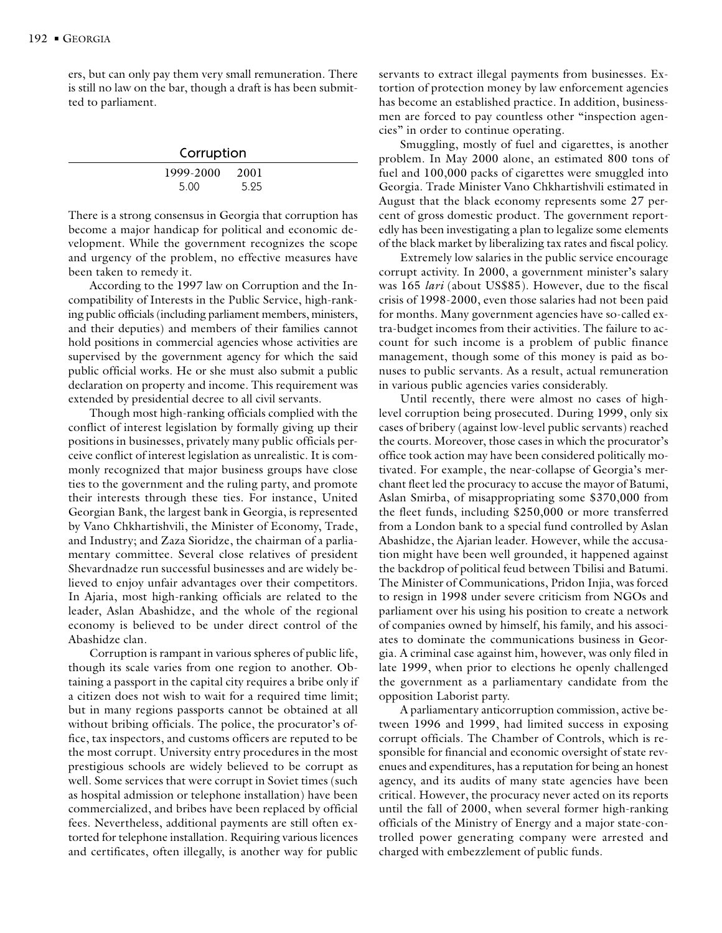ers, but can only pay them very small remuneration. There is still no law on the bar, though a draft is has been submitted to parliament.

| Corruption        |              |  |
|-------------------|--------------|--|
| 1999-2000<br>5.00 | 2001<br>5.95 |  |

There is a strong consensus in Georgia that corruption has become a major handicap for political and economic development. While the government recognizes the scope and urgency of the problem, no effective measures have been taken to remedy it.

According to the 1997 law on Corruption and the Incompatibility of Interests in the Public Service, high-ranking public officials (including parliament members, ministers, and their deputies) and members of their families cannot hold positions in commercial agencies whose activities are supervised by the government agency for which the said public official works. He or she must also submit a public declaration on property and income. This requirement was extended by presidential decree to all civil servants.

Though most high-ranking officials complied with the conflict of interest legislation by formally giving up their positions in businesses, privately many public officials perceive conflict of interest legislation as unrealistic. It is commonly recognized that major business groups have close ties to the government and the ruling party, and promote their interests through these ties. For instance, United Georgian Bank, the largest bank in Georgia, is represented by Vano Chkhartishvili, the Minister of Economy, Trade, and Industry; and Zaza Sioridze, the chairman of a parliamentary committee. Several close relatives of president Shevardnadze run successful businesses and are widely believed to enjoy unfair advantages over their competitors. In Ajaria, most high-ranking officials are related to the leader, Aslan Abashidze, and the whole of the regional economy is believed to be under direct control of the Abashidze clan.

Corruption is rampant in various spheres of public life, though its scale varies from one region to another. Obtaining a passport in the capital city requires a bribe only if a citizen does not wish to wait for a required time limit; but in many regions passports cannot be obtained at all without bribing officials. The police, the procurator's office, tax inspectors, and customs officers are reputed to be the most corrupt. University entry procedures in the most prestigious schools are widely believed to be corrupt as well. Some services that were corrupt in Soviet times (such as hospital admission or telephone installation) have been commercialized, and bribes have been replaced by official fees. Nevertheless, additional payments are still often extorted for telephone installation. Requiring various licences and certificates, often illegally, is another way for public

servants to extract illegal payments from businesses. Extortion of protection money by law enforcement agencies has become an established practice. In addition, businessmen are forced to pay countless other "inspection agencies" in order to continue operating.

Smuggling, mostly of fuel and cigarettes, is another problem. In May 2000 alone, an estimated 800 tons of fuel and 100,000 packs of cigarettes were smuggled into Georgia. Trade Minister Vano Chkhartishvili estimated in August that the black economy represents some 27 percent of gross domestic product. The government reportedly has been investigating a plan to legalize some elements of the black market by liberalizing tax rates and fiscal policy.

Extremely low salaries in the public service encourage corrupt activity. In 2000, a government minister's salary was 165 *lari* (about US\$85). However, due to the fiscal crisis of 1998-2000, even those salaries had not been paid for months. Many government agencies have so-called extra-budget incomes from their activities. The failure to account for such income is a problem of public finance management, though some of this money is paid as bonuses to public servants. As a result, actual remuneration in various public agencies varies considerably.

Until recently, there were almost no cases of highlevel corruption being prosecuted. During 1999, only six cases of bribery (against low-level public servants) reached the courts. Moreover, those cases in which the procurator's office took action may have been considered politically motivated. For example, the near-collapse of Georgia's merchant fleet led the procuracy to accuse the mayor of Batumi, Aslan Smirba, of misappropriating some \$370,000 from the fleet funds, including \$250,000 or more transferred from a London bank to a special fund controlled by Aslan Abashidze, the Ajarian leader. However, while the accusation might have been well grounded, it happened against the backdrop of political feud between Tbilisi and Batumi. The Minister of Communications, Pridon Injia, was forced to resign in 1998 under severe criticism from NGOs and parliament over his using his position to create a network of companies owned by himself, his family, and his associates to dominate the communications business in Georgia. A criminal case against him, however, was only filed in late 1999, when prior to elections he openly challenged the government as a parliamentary candidate from the opposition Laborist party.

A parliamentary anticorruption commission, active between 1996 and 1999, had limited success in exposing corrupt officials. The Chamber of Controls, which is responsible for financial and economic oversight of state revenues and expenditures, has a reputation for being an honest agency, and its audits of many state agencies have been critical. However, the procuracy never acted on its reports until the fall of 2000, when several former high-ranking officials of the Ministry of Energy and a major state-controlled power generating company were arrested and charged with embezzlement of public funds.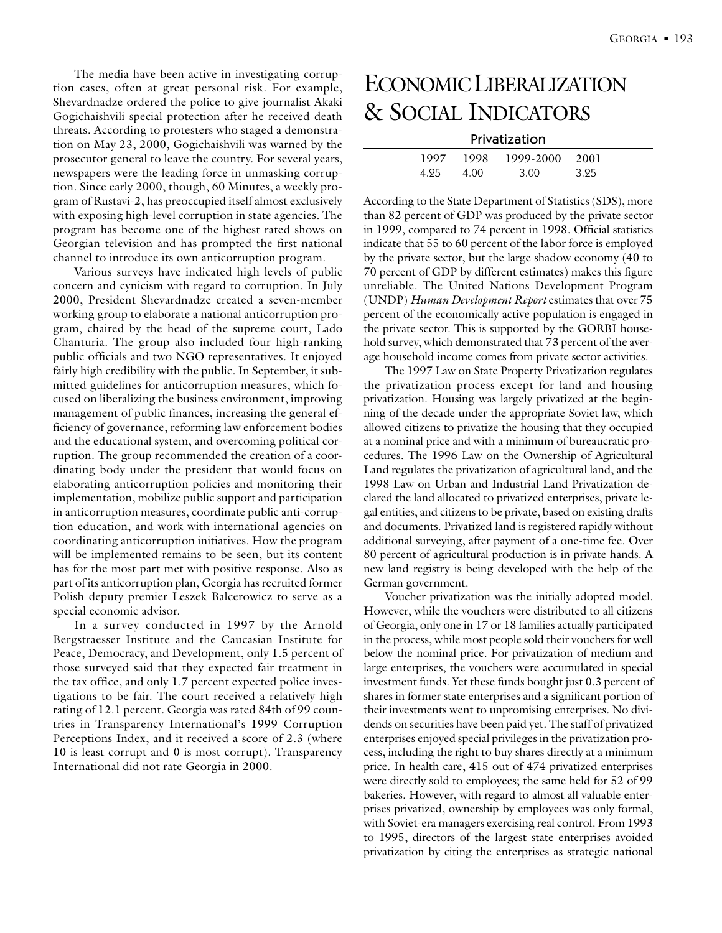The media have been active in investigating corruption cases, often at great personal risk. For example, Shevardnadze ordered the police to give journalist Akaki Gogichaishvili special protection after he received death threats. According to protesters who staged a demonstration on May 23, 2000, Gogichaishvili was warned by the prosecutor general to leave the country. For several years, newspapers were the leading force in unmasking corruption. Since early 2000, though, 60 Minutes, a weekly program of Rustavi-2, has preoccupied itself almost exclusively with exposing high-level corruption in state agencies. The program has become one of the highest rated shows on Georgian television and has prompted the first national channel to introduce its own anticorruption program.

Various surveys have indicated high levels of public concern and cynicism with regard to corruption. In July 2000, President Shevardnadze created a seven-member working group to elaborate a national anticorruption program, chaired by the head of the supreme court, Lado Chanturia. The group also included four high-ranking public officials and two NGO representatives. It enjoyed fairly high credibility with the public. In September, it submitted guidelines for anticorruption measures, which focused on liberalizing the business environment, improving management of public finances, increasing the general efficiency of governance, reforming law enforcement bodies and the educational system, and overcoming political corruption. The group recommended the creation of a coordinating body under the president that would focus on elaborating anticorruption policies and monitoring their implementation, mobilize public support and participation in anticorruption measures, coordinate public anti-corruption education, and work with international agencies on coordinating anticorruption initiatives. How the program will be implemented remains to be seen, but its content has for the most part met with positive response. Also as part of its anticorruption plan, Georgia has recruited former Polish deputy premier Leszek Balcerowicz to serve as a special economic advisor.

In a survey conducted in 1997 by the Arnold Bergstraesser Institute and the Caucasian Institute for Peace, Democracy, and Development, only 1.5 percent of those surveyed said that they expected fair treatment in the tax office, and only 1.7 percent expected police investigations to be fair. The court received a relatively high rating of 12.1 percent. Georgia was rated 84th of 99 countries in Transparency International's 1999 Corruption Perceptions Index, and it received a score of 2.3 (where 10 is least corrupt and 0 is most corrupt). Transparency International did not rate Georgia in 2000.

# ECONOMIC LIBERALIZATION & SOCIAL INDICATORS

#### Privatization

| 1997  | 1998 | 1999-2000 2001 |     |
|-------|------|----------------|-----|
| 4 9 5 | 4.00 | 3. UU          | 395 |

According to the State Department of Statistics (SDS), more than 82 percent of GDP was produced by the private sector in 1999, compared to 74 percent in 1998. Official statistics indicate that 55 to 60 percent of the labor force is employed by the private sector, but the large shadow economy (40 to 70 percent of GDP by different estimates) makes this figure unreliable. The United Nations Development Program (UNDP) *Human Development Report* estimates that over 75 percent of the economically active population is engaged in the private sector. This is supported by the GORBI household survey, which demonstrated that 73 percent of the average household income comes from private sector activities.

The 1997 Law on State Property Privatization regulates the privatization process except for land and housing privatization. Housing was largely privatized at the beginning of the decade under the appropriate Soviet law, which allowed citizens to privatize the housing that they occupied at a nominal price and with a minimum of bureaucratic procedures. The 1996 Law on the Ownership of Agricultural Land regulates the privatization of agricultural land, and the 1998 Law on Urban and Industrial Land Privatization declared the land allocated to privatized enterprises, private legal entities, and citizens to be private, based on existing drafts and documents. Privatized land is registered rapidly without additional surveying, after payment of a one-time fee. Over 80 percent of agricultural production is in private hands. A new land registry is being developed with the help of the German government.

Voucher privatization was the initially adopted model. However, while the vouchers were distributed to all citizens of Georgia, only one in 17 or 18 families actually participated in the process, while most people sold their vouchers for well below the nominal price. For privatization of medium and large enterprises, the vouchers were accumulated in special investment funds. Yet these funds bought just 0.3 percent of shares in former state enterprises and a significant portion of their investments went to unpromising enterprises. No dividends on securities have been paid yet. The staff of privatized enterprises enjoyed special privileges in the privatization process, including the right to buy shares directly at a minimum price. In health care, 415 out of 474 privatized enterprises were directly sold to employees; the same held for 52 of 99 bakeries. However, with regard to almost all valuable enterprises privatized, ownership by employees was only formal, with Soviet-era managers exercising real control. From 1993 to 1995, directors of the largest state enterprises avoided privatization by citing the enterprises as strategic national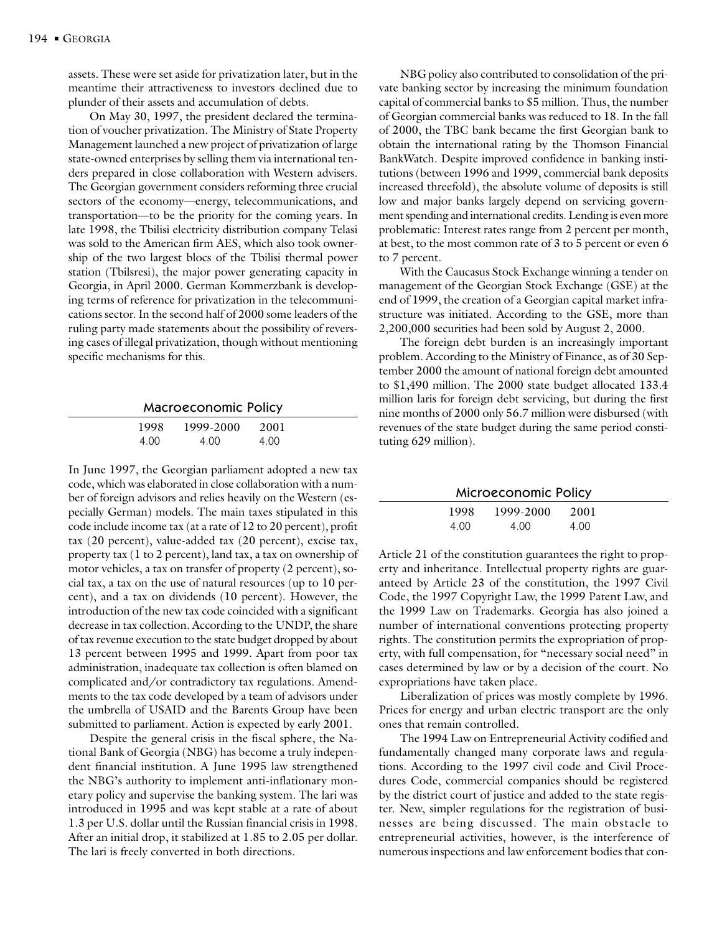assets. These were set aside for privatization later, but in the meantime their attractiveness to investors declined due to plunder of their assets and accumulation of debts.

On May 30, 1997, the president declared the termination of voucher privatization. The Ministry of State Property Management launched a new project of privatization of large state-owned enterprises by selling them via international tenders prepared in close collaboration with Western advisers. The Georgian government considers reforming three crucial sectors of the economy—energy, telecommunications, and transportation—to be the priority for the coming years. In late 1998, the Tbilisi electricity distribution company Telasi was sold to the American firm AES, which also took ownership of the two largest blocs of the Tbilisi thermal power station (Tbilsresi), the major power generating capacity in Georgia, in April 2000. German Kommerzbank is developing terms of reference for privatization in the telecommunications sector. In the second half of 2000 some leaders of the ruling party made statements about the possibility of reversing cases of illegal privatization, though without mentioning specific mechanisms for this.

|      | <b>Macroeconomic Policy</b> |      |  |
|------|-----------------------------|------|--|
| 1998 | 1999-2000                   | 2001 |  |
| 4.00 | 4.00                        | 4.00 |  |

In June 1997, the Georgian parliament adopted a new tax code, which was elaborated in close collaboration with a number of foreign advisors and relies heavily on the Western (especially German) models. The main taxes stipulated in this code include income tax (at a rate of 12 to 20 percent), profit tax (20 percent), value-added tax (20 percent), excise tax, property tax (1 to 2 percent), land tax, a tax on ownership of motor vehicles, a tax on transfer of property (2 percent), social tax, a tax on the use of natural resources (up to 10 percent), and a tax on dividends (10 percent). However, the introduction of the new tax code coincided with a significant decrease in tax collection. According to the UNDP, the share of tax revenue execution to the state budget dropped by about 13 percent between 1995 and 1999. Apart from poor tax administration, inadequate tax collection is often blamed on complicated and/or contradictory tax regulations. Amendments to the tax code developed by a team of advisors under the umbrella of USAID and the Barents Group have been submitted to parliament. Action is expected by early 2001.

Despite the general crisis in the fiscal sphere, the National Bank of Georgia (NBG) has become a truly independent financial institution. A June 1995 law strengthened the NBG's authority to implement anti-inflationary monetary policy and supervise the banking system. The lari was introduced in 1995 and was kept stable at a rate of about 1.3 per U.S. dollar until the Russian financial crisis in 1998. After an initial drop, it stabilized at 1.85 to 2.05 per dollar. The lari is freely converted in both directions.

NBG policy also contributed to consolidation of the private banking sector by increasing the minimum foundation capital of commercial banks to \$5 million. Thus, the number of Georgian commercial banks was reduced to 18. In the fall of 2000, the TBC bank became the first Georgian bank to obtain the international rating by the Thomson Financial BankWatch. Despite improved confidence in banking institutions (between 1996 and 1999, commercial bank deposits increased threefold), the absolute volume of deposits is still low and major banks largely depend on servicing government spending and international credits. Lending is even more problematic: Interest rates range from 2 percent per month, at best, to the most common rate of 3 to 5 percent or even 6 to 7 percent.

With the Caucasus Stock Exchange winning a tender on management of the Georgian Stock Exchange (GSE) at the end of 1999, the creation of a Georgian capital market infrastructure was initiated. According to the GSE, more than 2,200,000 securities had been sold by August 2, 2000.

The foreign debt burden is an increasingly important problem. According to the Ministry of Finance, as of 30 September 2000 the amount of national foreign debt amounted to \$1,490 million. The 2000 state budget allocated 133.4 million laris for foreign debt servicing, but during the first nine months of 2000 only 56.7 million were disbursed (with revenues of the state budget during the same period constituting 629 million).

| Microeconomic Policy |           |      |  |
|----------------------|-----------|------|--|
| 1998.                | 1999-2000 | 2001 |  |
| 4.00                 | 4.00      | 4.00 |  |

Article 21 of the constitution guarantees the right to property and inheritance. Intellectual property rights are guaranteed by Article 23 of the constitution, the 1997 Civil Code, the 1997 Copyright Law, the 1999 Patent Law, and the 1999 Law on Trademarks. Georgia has also joined a number of international conventions protecting property rights. The constitution permits the expropriation of property, with full compensation, for "necessary social need" in cases determined by law or by a decision of the court. No expropriations have taken place.

Liberalization of prices was mostly complete by 1996. Prices for energy and urban electric transport are the only ones that remain controlled.

The 1994 Law on Entrepreneurial Activity codified and fundamentally changed many corporate laws and regulations. According to the 1997 civil code and Civil Procedures Code, commercial companies should be registered by the district court of justice and added to the state register. New, simpler regulations for the registration of businesses are being discussed. The main obstacle to entrepreneurial activities, however, is the interference of numerous inspections and law enforcement bodies that con